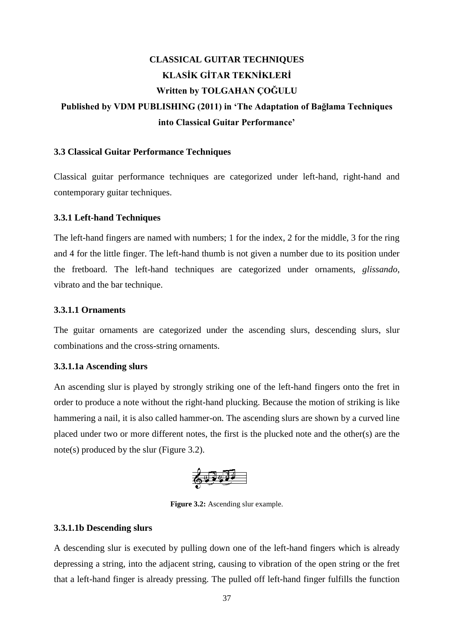# **CLASSICAL GUITAR TECHNIQUES KLASİK GİTAR TEKNİKLERİ Written by TOLGAHAN ÇOĞULU Published by VDM PUBLISHING (2011) in 'The Adaptation of Bağlama Techniques into Classical Guitar Performance'**

#### **3.3 Classical Guitar Performance Techniques**

Classical guitar performance techniques are categorized under left-hand, right-hand and contemporary guitar techniques.

#### **3.3.1 Left-hand Techniques**

The left-hand fingers are named with numbers; 1 for the index, 2 for the middle, 3 for the ring and 4 for the little finger. The left-hand thumb is not given a number due to its position under the fretboard. The left-hand techniques are categorized under ornaments, *glissando*, vibrato and the bar technique.

#### **3.3.1.1 Ornaments**

The guitar ornaments are categorized under the ascending slurs, descending slurs, slur combinations and the cross-string ornaments.

#### **3.3.1.1a Ascending slurs**

An ascending slur is played by strongly striking one of the left-hand fingers onto the fret in order to produce a note without the right-hand plucking. Because the motion of striking is like hammering a nail, it is also called hammer-on. The ascending slurs are shown by a curved line placed under two or more different notes, the first is the plucked note and the other(s) are the note(s) produced by the slur (Figure 3.2).



**Figure 3.2:** Ascending slur example.

#### **3.3.1.1b Descending slurs**

A descending slur is executed by pulling down one of the left-hand fingers which is already depressing a string, into the adjacent string, causing to vibration of the open string or the fret that a left-hand finger is already pressing. The pulled off left-hand finger fulfills the function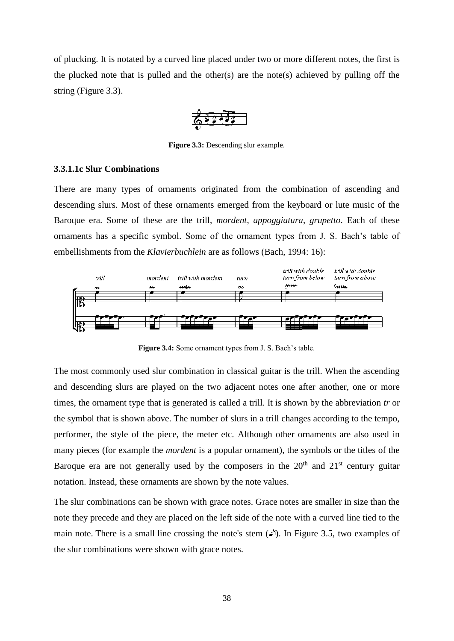of plucking. It is notated by a curved line placed under two or more different notes, the first is the plucked note that is pulled and the other(s) are the note(s) achieved by pulling off the string (Figure 3.3).

**Figure 3.3:** Descending slur example.

#### **3.3.1.1c Slur Combinations**

There are many types of ornaments originated from the combination of ascending and descending slurs. Most of these ornaments emerged from the keyboard or lute music of the Baroque era. Some of these are the trill, *mordent*, *appoggiatura*, *grupetto*. Each of these ornaments has a specific symbol. Some of the ornament types from J. S. Bach's table of embellishments from the *Klavierbuchlein* are as follows (Bach, 1994: 16):



**Figure 3.4:** Some ornament types from J. S. Bach's table.

The most commonly used slur combination in classical guitar is the trill. When the ascending and descending slurs are played on the two adjacent notes one after another, one or more times, the ornament type that is generated is called a trill. It is shown by the abbreviation *tr* or the symbol that is shown above. The number of slurs in a trill changes according to the tempo, performer, the style of the piece, the meter etc. Although other ornaments are also used in many pieces (for example the *mordent* is a popular ornament), the symbols or the titles of the Baroque era are not generally used by the composers in the  $20<sup>th</sup>$  and  $21<sup>st</sup>$  century guitar notation. Instead, these ornaments are shown by the note values.

The slur combinations can be shown with grace notes. Grace notes are smaller in size than the note they precede and they are placed on the left side of the note with a curved line tied to the main note. There is a small line crossing the note's stem  $({\cal A})$ . In Figure 3.5, two examples of the slur combinations were shown with grace notes.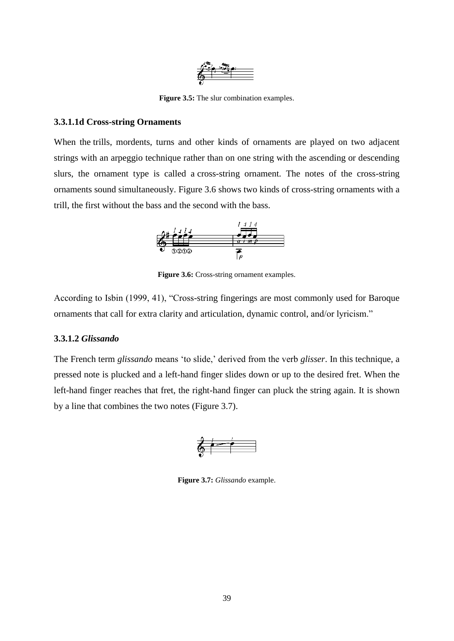

**Figure 3.5:** The slur combination examples.

## **3.3.1.1d Cross-string Ornaments**

When the trills, mordents, turns and other kinds of ornaments are played on two adjacent strings with an arpeggio technique rather than on one string with the ascending or descending slurs, the ornament type is called a cross-string ornament. The notes of the cross-string ornaments sound simultaneously. Figure 3.6 shows two kinds of cross-string ornaments with a trill, the first without the bass and the second with the bass.



**Figure 3.6:** Cross-string ornament examples.

According to Isbin (1999, 41), "Cross-string fingerings are most commonly used for Baroque ornaments that call for extra clarity and articulation, dynamic control, and/or lyricism."

# **3.3.1.2** *Glissando*

The French term *glissando* means 'to slide,' derived from the verb *glisser*. In this technique, a pressed note is plucked and a left-hand finger slides down or up to the desired fret. When the left-hand finger reaches that fret, the right-hand finger can pluck the string again. It is shown by a line that combines the two notes (Figure 3.7).



**Figure 3.7:** *Glissando* example.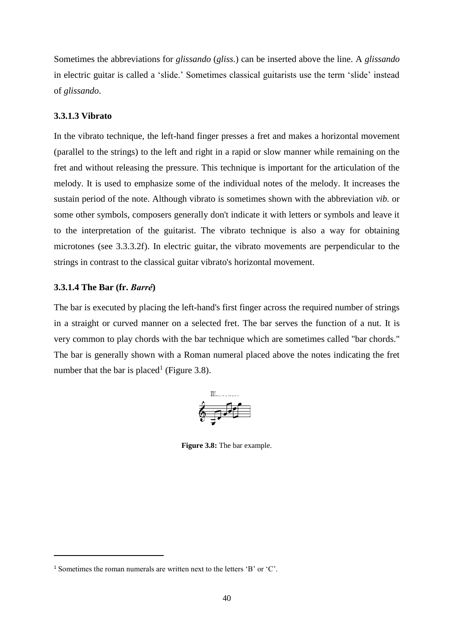Sometimes the abbreviations for *glissando* (*gliss.*) can be inserted above the line. A *glissando*  in electric guitar is called a 'slide.' Sometimes classical guitarists use the term 'slide' instead of *glissando*.

## **3.3.1.3 Vibrato**

In the vibrato technique, the left-hand finger presses a fret and makes a horizontal movement (parallel to the strings) to the left and right in a rapid or slow manner while remaining on the fret and without releasing the pressure. This technique is important for the articulation of the melody. It is used to emphasize some of the individual notes of the melody. It increases the sustain period of the note. Although vibrato is sometimes shown with the abbreviation *vib.* or some other symbols, composers generally don't indicate it with letters or symbols and leave it to the interpretation of the guitarist. The vibrato technique is also a way for obtaining microtones (see 3.3.3.2f). In electric guitar, the vibrato movements are perpendicular to the strings in contrast to the classical guitar vibrato's horizontal movement.

## **3.3.1.4 The Bar (fr.** *Barré***)**

 $\overline{a}$ 

The bar is executed by placing the left-hand's first finger across the required number of strings in a straight or curved manner on a selected fret. The bar serves the function of a nut. It is very common to play chords with the bar technique which are sometimes called "bar chords." The bar is generally shown with a Roman numeral placed above the notes indicating the fret number that the bar is placed<sup>1</sup> (Figure 3.8).



**Figure 3.8:** The bar example.

<sup>1</sup> Sometimes the roman numerals are written next to the letters 'B' or 'C'.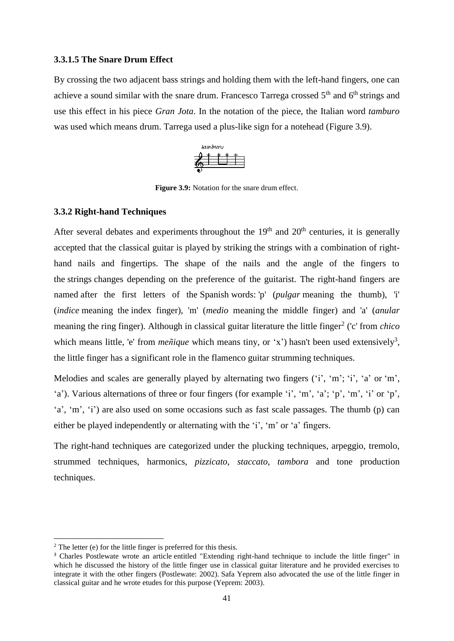#### **3.3.1.5 The Snare Drum Effect**

By crossing the two adjacent bass strings and holding them with the left-hand fingers, one can achieve a sound similar with the snare drum. Francesco Tarrega crossed  $5<sup>th</sup>$  and  $6<sup>th</sup>$  strings and use this effect in his piece *Gran Jota*. In the notation of the piece, the Italian word *tamburo*  was used which means drum. Tarrega used a plus-like sign for a notehead (Figure 3.9).



**Figure 3.9:** Notation for the snare drum effect.

#### **3.3.2 Right-hand Techniques**

After several debates and experiments throughout the  $19<sup>th</sup>$  and  $20<sup>th</sup>$  centuries, it is generally accepted that the classical guitar is played by striking the strings with a combination of righthand nails and fingertips. The shape of the nails and the angle of the fingers to the strings changes depending on the preference of the guitarist. The right-hand fingers are named after the first letters of the Spanish words: 'p' (*pulgar* meaning the thumb), 'i' (*indice* meaning the index finger), 'm' (*medio* meaning the middle finger) and 'a' (*anular*  meaning the ring finger). Although in classical guitar literature the little finger<sup>2</sup> ('c' from *chico* which means little, 'e' from *meñique* which means tiny, or 'x') hasn't been used extensively<sup>3</sup>, the little finger has a significant role in the flamenco guitar strumming techniques.

Melodies and scales are generally played by alternating two fingers ('i', 'm'; 'i', 'a' or 'm', 'a'). Various alternations of three or four fingers (for example 'i', 'm', 'a'; 'p', 'm', 'i' or 'p', 'a', 'm', 'i') are also used on some occasions such as fast scale passages. The thumb (p) can either be played independently or alternating with the 'i', 'm' or 'a' fingers.

The right-hand techniques are categorized under the plucking techniques, arpeggio, tremolo, strummed techniques, harmonics, *pizzicato*, *staccato*, *tambora* and tone production techniques.

 $\overline{a}$ 

 $2$  The letter (e) for the little finger is preferred for this thesis.

<sup>&</sup>lt;sup>3</sup> Charles Postlewate wrote an article entitled "Extending right-hand technique to include the little finger" in which he discussed the history of the little finger use in classical guitar literature and he provided exercises to integrate it with the other fingers (Postlewate: 2002). Safa Yeprem also advocated the use of the little finger in classical guitar and he wrote etudes for this purpose (Yeprem: 2003).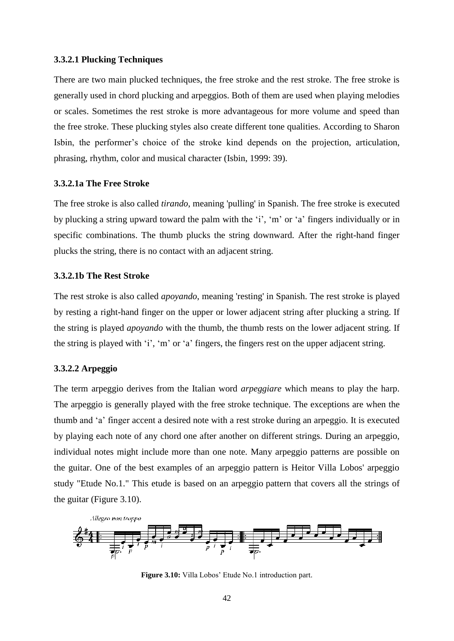#### **3.3.2.1 Plucking Techniques**

There are two main plucked techniques, the free stroke and the rest stroke. The free stroke is generally used in chord plucking and arpeggios. Both of them are used when playing melodies or scales. Sometimes the rest stroke is more advantageous for more volume and speed than the free stroke. These plucking styles also create different tone qualities. According to Sharon Isbin, the performer's choice of the stroke kind depends on the projection, articulation, phrasing, rhythm, color and musical character (Isbin, 1999: 39).

#### **3.3.2.1a The Free Stroke**

The free stroke is also called *tirando*, meaning 'pulling' in Spanish. The free stroke is executed by plucking a string upward toward the palm with the 'i', 'm' or 'a' fingers individually or in specific combinations. The thumb plucks the string downward. After the right-hand finger plucks the string, there is no contact with an adjacent string.

#### **3.3.2.1b The Rest Stroke**

The rest stroke is also called *apoyando*, meaning 'resting' in Spanish. The rest stroke is played by resting a right-hand finger on the upper or lower adjacent string after plucking a string. If the string is played *apoyando* with the thumb, the thumb rests on the lower adjacent string. If the string is played with 'i', 'm' or 'a' fingers, the fingers rest on the upper adjacent string.

#### **3.3.2.2 Arpeggio**

The term arpeggio derives from the Italian word *arpeggiare* which means to play the harp. The arpeggio is generally played with the free stroke technique. The exceptions are when the thumb and 'a' finger accent a desired note with a rest stroke during an arpeggio. It is executed by playing each note of any chord one after another on different strings. During an arpeggio, individual notes might include more than one note. Many arpeggio patterns are possible on the guitar. One of the best examples of an arpeggio pattern is Heitor Villa Lobos' arpeggio study "Etude No.1." This etude is based on an arpeggio pattern that covers all the strings of the guitar (Figure 3.10).



**Figure 3.10:** Villa Lobos' Etude No.1 introduction part.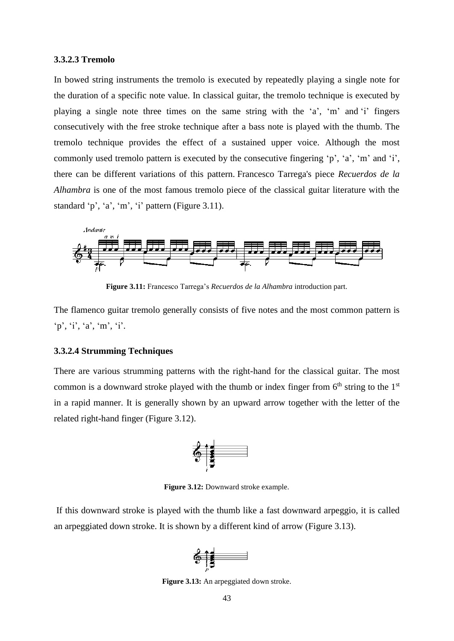#### **3.3.2.3 Tremolo**

In bowed string instruments the tremolo is executed by repeatedly playing a single note for the duration of a specific note value. In classical guitar, the tremolo technique is executed by playing a single note three times on the same string with the 'a', 'm' and 'i' fingers consecutively with the free stroke technique after a bass note is played with the thumb. The tremolo technique provides the effect of a sustained upper voice. Although the most commonly used tremolo pattern is executed by the consecutive fingering 'p', 'a', 'm' and 'i', there can be different variations of this pattern. Francesco Tarrega's piece *Recuerdos de la Alhambra* is one of the most famous tremolo piece of the classical guitar literature with the standard 'p', 'a', 'm', 'i' pattern (Figure 3.11).



**Figure 3.11:** Francesco Tarrega's *Recuerdos de la Alhambra* introduction part.

The flamenco guitar tremolo generally consists of five notes and the most common pattern is 'p', 'i', 'a', 'm', 'i'.

#### **3.3.2.4 Strumming Techniques**

There are various strumming patterns with the right-hand for the classical guitar. The most common is a downward stroke played with the thumb or index finger from  $6<sup>th</sup>$  string to the  $1<sup>st</sup>$ in a rapid manner. It is generally shown by an upward arrow together with the letter of the related right-hand finger (Figure 3.12).



**Figure 3.12:** Downward stroke example.

If this downward stroke is played with the thumb like a fast downward arpeggio, it is called an arpeggiated down stroke. It is shown by a different kind of arrow (Figure 3.13).



**Figure 3.13:** An arpeggiated down stroke.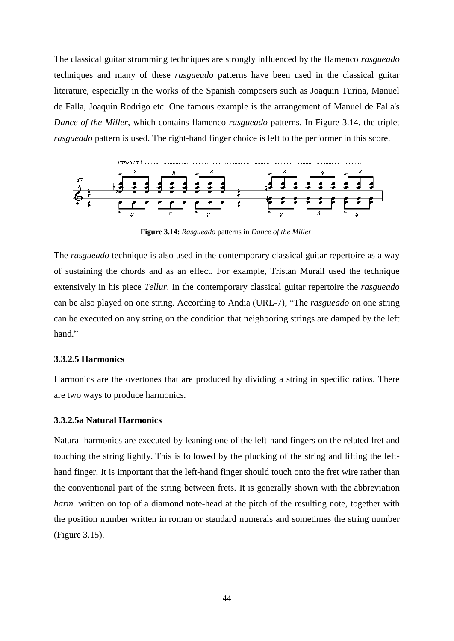The classical guitar strumming techniques are strongly influenced by the flamenco *rasgueado*  techniques and many of these *rasgueado* patterns have been used in the classical guitar literature, especially in the works of the Spanish composers such as Joaquin Turina, Manuel de Falla, Joaquin Rodrigo etc. One famous example is the arrangement of Manuel de Falla's *Dance of the Miller*, which contains flamenco *rasgueado* patterns. In Figure 3.14, the triplet *rasgueado* pattern is used. The right-hand finger choice is left to the performer in this score.



**Figure 3.14:** *Rasgueado* patterns in *Dance of the Miller*.

The *rasgueado* technique is also used in the contemporary classical guitar repertoire as a way of sustaining the chords and as an effect. For example, Tristan Murail used the technique extensively in his piece *Tellur*. In the contemporary classical guitar repertoire the *rasgueado*  can be also played on one string. According to Andia (URL-7), "The *rasgueado* on one string can be executed on any string on the condition that neighboring strings are damped by the left hand."

#### **3.3.2.5 Harmonics**

Harmonics are the overtones that are produced by dividing a string in specific ratios. There are two ways to produce harmonics.

#### **3.3.2.5a Natural Harmonics**

Natural harmonics are executed by leaning one of the left-hand fingers on the related fret and touching the string lightly. This is followed by the plucking of the string and lifting the lefthand finger. It is important that the left-hand finger should touch onto the fret wire rather than the conventional part of the string between frets. It is generally shown with the abbreviation *harm.* written on top of a diamond note-head at the pitch of the resulting note, together with the position number written in roman or standard numerals and sometimes the string number (Figure 3.15).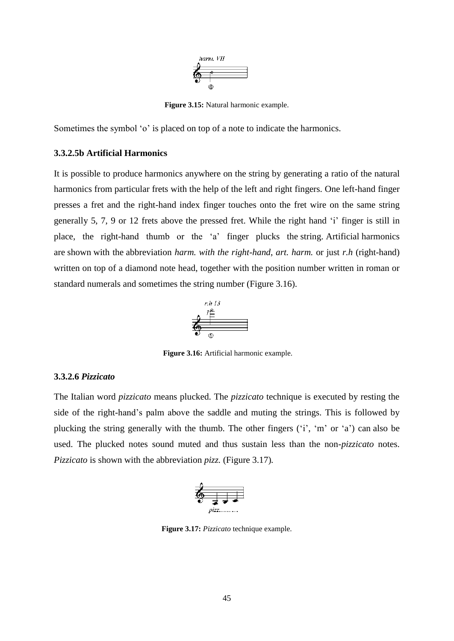

**Figure 3.15:** Natural harmonic example.

Sometimes the symbol 'o' is placed on top of a note to indicate the harmonics.

#### **3.3.2.5b Artificial Harmonics**

It is possible to produce harmonics anywhere on the string by generating a ratio of the natural harmonics from particular frets with the help of the left and right fingers. One left-hand finger presses a fret and the right-hand index finger touches onto the fret wire on the same string generally 5, 7, 9 or 12 frets above the pressed fret. While the right hand 'i' finger is still in place, the right-hand thumb or the 'a' finger plucks the string. Artificial harmonics are shown with the abbreviation *harm. with the right-hand*, *art. harm.* or just *r.h* (right-hand) written on top of a diamond note head, together with the position number written in roman or standard numerals and sometimes the string number (Figure 3.16).



**Figure 3.16:** Artificial harmonic example.

#### **3.3.2.6** *Pizzicato*

The Italian word *pizzicato* means plucked. The *pizzicato* technique is executed by resting the side of the right-hand's palm above the saddle and muting the strings. This is followed by plucking the string generally with the thumb. The other fingers ('i', 'm' or 'a') can also be used. The plucked notes sound muted and thus sustain less than the non-*pizzicato* notes. *Pizzicato* is shown with the abbreviation *pizz.* (Figure 3.17)*.*



**Figure 3.17:** *Pizzicato* technique example.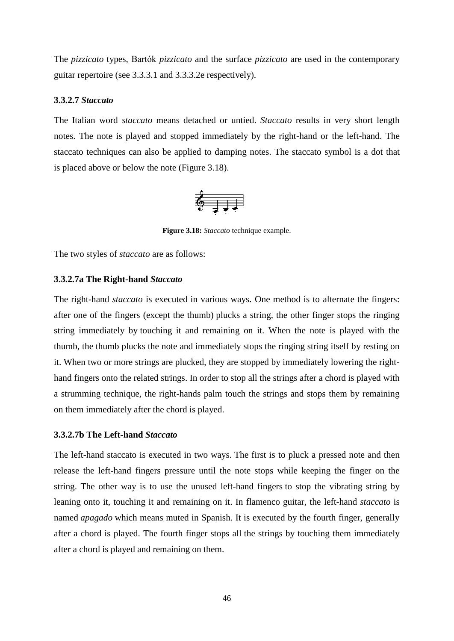The *pizzicato* types, Bartók *pizzicato* and the surface *pizzicato* are used in the contemporary guitar repertoire (see 3.3.3.1 and 3.3.3.2e respectively).

#### **3.3.2.7** *Staccato*

The Italian word *staccato* means detached or untied. *Staccato* results in very short length notes. The note is played and stopped immediately by the right-hand or the left-hand. The staccato techniques can also be applied to damping notes. The staccato symbol is a dot that is placed above or below the note (Figure 3.18).

$$
\begin{array}{c}\n\bullet \\
\bullet \\
\end{array}
$$

**Figure 3.18:** *Staccato* technique example.

The two styles of *staccato* are as follows:

## **3.3.2.7a The Right-hand** *Staccato*

The right-hand *staccato* is executed in various ways. One method is to alternate the fingers: after one of the fingers (except the thumb) plucks a string, the other finger stops the ringing string immediately by touching it and remaining on it. When the note is played with the thumb, the thumb plucks the note and immediately stops the ringing string itself by resting on it. When two or more strings are plucked, they are stopped by immediately lowering the righthand fingers onto the related strings. In order to stop all the strings after a chord is played with a strumming technique, the right-hands palm touch the strings and stops them by remaining on them immediately after the chord is played.

#### **3.3.2.7b The Left-hand** *Staccato*

The left-hand staccato is executed in two ways. The first is to pluck a pressed note and then release the left-hand fingers pressure until the note stops while keeping the finger on the string. The other way is to use the unused left-hand fingers to stop the vibrating string by leaning onto it, touching it and remaining on it. In flamenco guitar, the left-hand *staccato* is named *apagado* which means muted in Spanish. It is executed by the fourth finger, generally after a chord is played. The fourth finger stops all the strings by touching them immediately after a chord is played and remaining on them.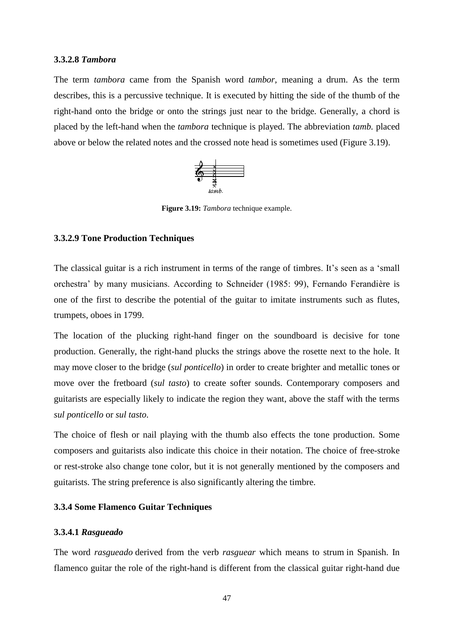#### **3.3.2.8** *Tambora*

The term *tambora* came from the Spanish word *tambor,* meaning a drum. As the term describes, this is a percussive technique. It is executed by hitting the side of the thumb of the right-hand onto the bridge or onto the strings just near to the bridge. Generally, a chord is placed by the left-hand when the *tambora* technique is played. The abbreviation *tamb.* placed above or below the related notes and the crossed note head is sometimes used (Figure 3.19).



**Figure 3.19:** *Tambora* technique example.

#### **3.3.2.9 Tone Production Techniques**

The classical guitar is a rich instrument in terms of the range of timbres. It's seen as a 'small orchestra' by many musicians. According to Schneider (1985: 99), Fernando Ferandière is one of the first to describe the potential of the guitar to imitate instruments such as flutes, trumpets, oboes in 1799.

The location of the plucking right-hand finger on the soundboard is decisive for tone production. Generally, the right-hand plucks the strings above the rosette next to the hole. It may move closer to the bridge (*sul ponticello*) in order to create brighter and metallic tones or move over the fretboard (*sul tasto*) to create softer sounds. Contemporary composers and guitarists are especially likely to indicate the region they want, above the staff with the terms *sul ponticello* or *sul tasto*.

The choice of flesh or nail playing with the thumb also effects the tone production. Some composers and guitarists also indicate this choice in their notation. The choice of free-stroke or rest-stroke also change tone color, but it is not generally mentioned by the composers and guitarists. The string preference is also significantly altering the timbre.

#### **3.3.4 Some Flamenco Guitar Techniques**

#### **3.3.4.1** *Rasgueado*

The word *rasgueado* derived from the verb *rasguear* which means to strum in Spanish. In flamenco guitar the role of the right-hand is different from the classical guitar right-hand due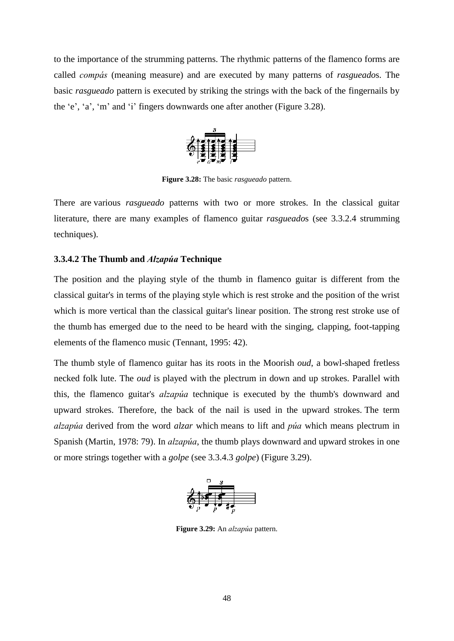to the importance of the strumming patterns. The rhythmic patterns of the flamenco forms are called *compás* (meaning measure) and are executed by many patterns of *rasgueado*s. The basic *rasgueado* pattern is executed by striking the strings with the back of the fingernails by the 'e', 'a', 'm' and 'i' fingers downwards one after another (Figure 3.28).



**Figure 3.28:** The basic *rasgueado* pattern.

There are various *rasgueado* patterns with two or more strokes. In the classical guitar literature, there are many examples of flamenco guitar *rasgueado*s (see 3.3.2.4 strumming techniques).

## **3.3.4.2 The Thumb and** *Alzapúa* **Technique**

The position and the playing style of the thumb in flamenco guitar is different from the classical guitar's in terms of the playing style which is rest stroke and the position of the wrist which is more vertical than the classical guitar's linear position. The strong rest stroke use of the thumb has emerged due to the need to be heard with the singing, clapping, foot-tapping elements of the flamenco music (Tennant, 1995: 42).

The thumb style of flamenco guitar has its roots in the Moorish *oud*, a bowl-shaped fretless necked folk lute. The *oud* is played with the plectrum in down and up strokes. Parallel with this, the flamenco guitar's *alzapúa* technique is executed by the thumb's downward and upward strokes. Therefore, the back of the nail is used in the upward strokes. The term *alzapúa* derived from the word *alzar* which means to lift and *púa* which means plectrum in Spanish (Martin, 1978: 79). In *alzapúa*, the thumb plays downward and upward strokes in one or more strings together with a *golpe* (see 3.3.4.3 *golpe*) (Figure 3.29).



**Figure 3.29:** An *alzapúa* pattern.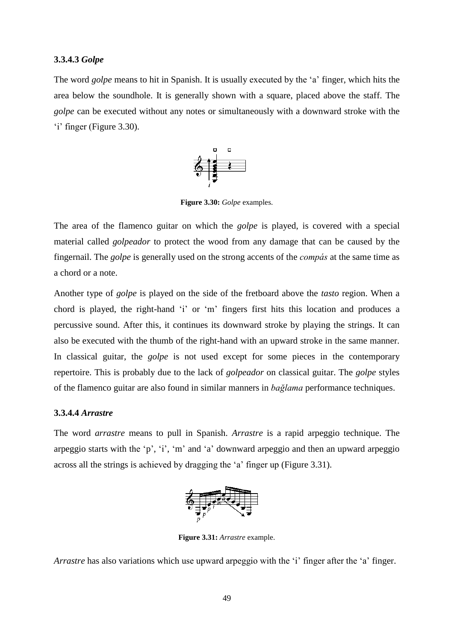#### **3.3.4.3** *Golpe*

The word *golpe* means to hit in Spanish. It is usually executed by the 'a' finger, which hits the area below the soundhole. It is generally shown with a square, placed above the staff. The *golpe* can be executed without any notes or simultaneously with a downward stroke with the 'i' finger (Figure 3.30).



**Figure 3.30:** *Golpe* examples.

The area of the flamenco guitar on which the *golpe* is played, is covered with a special material called *golpeador* to protect the wood from any damage that can be caused by the fingernail. The *golpe* is generally used on the strong accents of the *compás* at the same time as a chord or a note.

Another type of *golpe* is played on the side of the fretboard above the *tasto* region. When a chord is played, the right-hand 'i' or 'm' fingers first hits this location and produces a percussive sound. After this, it continues its downward stroke by playing the strings. It can also be executed with the thumb of the right-hand with an upward stroke in the same manner. In classical guitar, the *golpe* is not used except for some pieces in the contemporary repertoire. This is probably due to the lack of *golpeador* on classical guitar. The *golpe* styles of the flamenco guitar are also found in similar manners in *bağlama* performance techniques.

## **3.3.4.4** *Arrastre*

The word *arrastre* means to pull in Spanish. *Arrastre* is a rapid arpeggio technique. The arpeggio starts with the 'p', 'i', 'm' and 'a' downward arpeggio and then an upward arpeggio across all the strings is achieved by dragging the 'a' finger up (Figure 3.31).



**Figure 3.31:** *Arrastre* example.

*Arrastre* has also variations which use upward arpeggio with the 'i' finger after the 'a' finger.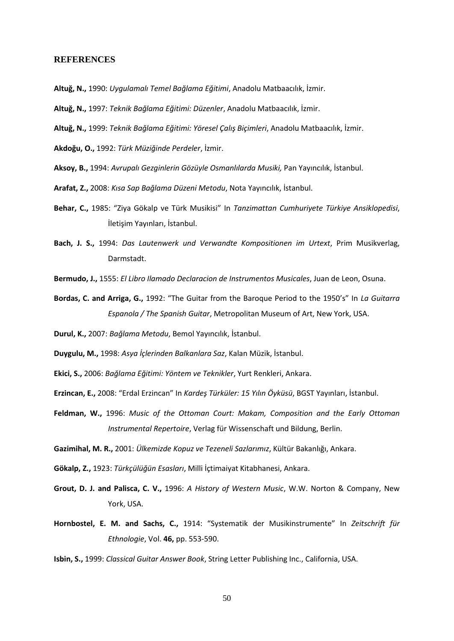#### **REFERENCES**

- **Altuğ, N.,** 1990: *Uygulamalı Temel Bağlama Eğitimi*, Anadolu Matbaacılık, İzmir.
- **Altuğ, N.,** 1997: *Teknik Bağlama Eğitimi: Düzenler*, Anadolu Matbaacılık, İzmir.
- **Altuğ, N.,** 1999: *Teknik Bağlama Eğitimi: Yöresel Çalış Biçimleri*, Anadolu Matbaacılık, İzmir.

**Akdoğu, O.,** 1992: *Türk Müziğinde Perdeler*, İzmir.

- **Aksoy, B.,** 1994: *Avrupalı Gezginlerin Gözüyle Osmanlılarda Musiki,* Pan Yayıncılık, İstanbul.
- **Arafat, Z.,** 2008: *Kısa Sap Bağlama Düzeni Metodu*, Nota Yayıncılık, İstanbul.
- **Behar, C.,** 1985: "Ziya Gökalp ve Türk Musikisi" In *Tanzimattan Cumhuriyete Türkiye Ansiklopedisi*, İletişim Yayınları, İstanbul.
- **Bach, J. S.,** 1994: *Das Lautenwerk und Verwandte Kompositionen im Urtext*, Prim Musikverlag, Darmstadt.
- **Bermudo, J.,** 1555: *El Libro Ilamado Declaracion de Instrumentos Musicales*, Juan de Leon, Osuna.
- **Bordas, C. and Arriga, G.,** 1992: "The Guitar from the Baroque Period to the 1950's" In *La Guitarra Espanola / The Spanish Guitar*, Metropolitan Museum of Art, New York, USA.
- **Durul, K.,** 2007: *Bağlama Metodu*, Bemol Yayıncılık, İstanbul.
- **Duygulu, M.,** 1998: *Asya İçlerinden Balkanlara Saz*, Kalan Müzik, İstanbul.
- **Ekici, S.,** 2006: *Bağlama Eğitimi: Yöntem ve Teknikler*, Yurt Renkleri, Ankara.
- **Erzincan, E.,** 2008: "Erdal Erzincan" In *Kardeş Türküler: 15 Yılın Öyküsü*, BGST Yayınları, İstanbul.
- **Feldman, W.,** 1996: *Music of the Ottoman Court: Makam, Composition and the Early Ottoman Instrumental Repertoire*, Verlag für Wissenschaft und Bildung, Berlin.

**Gazimihal, M. R.,** 2001: *Ülkemizde Kopuz ve Tezeneli Sazlarımız*, Kültür Bakanlığı, Ankara.

**Gökalp, Z.,** 1923: *Türkçülüğün Esasları*, Milli İçtimaiyat Kitabhanesi, Ankara.

- **Grout, D. J. and Palisca, C. V.,** 1996: *A History of Western Music*, W.W. Norton & Company, New York, USA.
- **Hornbostel, E. M. and Sachs, C.,** 1914: "Systematik der Musikinstrumente" In *Zeitschrift für Ethnologie*, Vol. **46,** pp. 553-590.

**Isbin, S.,** 1999: *Classical Guitar Answer Book*, String Letter Publishing Inc., California, USA.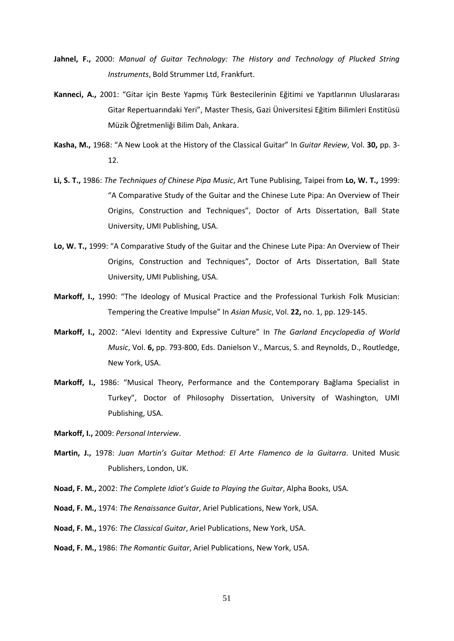- **Jahnel, F.,** 2000: *Manual of Guitar Technology: The History and Technology of Plucked String Instruments*, Bold Strummer Ltd, Frankfurt.
- **Kanneci, A.,** 2001: "Gitar için Beste Yapmış Türk Bestecilerinin Eğitimi ve Yapıtlarının Uluslararası Gitar Repertuarındaki Yeri", Master Thesis, Gazi Üniversitesi Eğitim Bilimleri Enstitüsü Müzik Öğretmenliği Bilim Dalı, Ankara.
- **Kasha, M.,** 1968: "A New Look at the History of the Classical Guitar" In *Guitar Review*, Vol. **30,** pp. 3- 12.
- **Li, S. T.,** 1986: *The Techniques of Chinese Pipa Music*, Art Tune Publising, Taipei from **Lo, W. T.,** 1999: "A Comparative Study of the Guitar and the Chinese Lute Pipa: An Overview of Their Origins, Construction and Techniques", Doctor of Arts Dissertation, Ball State University, UMI Publishing, USA.
- **Lo, W. T.,** 1999: "A Comparative Study of the Guitar and the Chinese Lute Pipa: An Overview of Their Origins, Construction and Techniques", Doctor of Arts Dissertation, Ball State University, UMI Publishing, USA.
- **Markoff, I.,** 1990: "The Ideology of Musical Practice and the Professional Turkish Folk Musician: Tempering the Creative Impulse" In *Asian Music*, Vol. **22,** no. 1, pp. 129-145.
- **Markoff, I.,** 2002: "Alevi Identity and Expressive Culture" In *The Garland Encyclopedia of World Music*, Vol. **6,** pp. 793-800, Eds. Danielson V., Marcus, S. and Reynolds, D., Routledge, New York, USA.
- **Markoff, I.,** 1986: "Musical Theory, Performance and the Contemporary Bağlama Specialist in Turkey", Doctor of Philosophy Dissertation, University of Washington, UMI Publishing, USA.

**Markoff, I.,** 2009: *Personal Interview*.

- **Martin, J.,** 1978: *Juan Martin's Guitar Method: El Arte Flamenco de la Guitarra*. United Music Publishers, London, UK.
- **Noad, F. M.,** 2002: *The Complete Idiot's Guide to Playing the Guitar*, Alpha Books, USA.
- **Noad, F. M.,** 1974: *The Renaissance Guitar*, Ariel Publications, New York, USA.
- **Noad, F. M.,** 1976: *The Classical Guitar*, Ariel Publications, New York, USA.
- **Noad, F. M.,** 1986: *The Romantic Guitar*, Ariel Publications, New York, USA.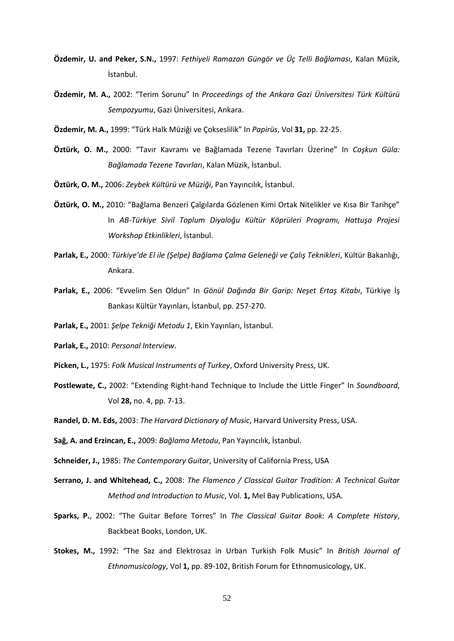- **Özdemir, U. and Peker, S.N.,** 1997: *Fethiyeli Ramazan Güngör ve Üç Telli Bağlaması*, Kalan Müzik, İstanbul.
- **Özdemir, M. A.,** 2002: "Terim Sorunu" In *Proceedings of the Ankara Gazi Üniversitesi Türk Kültürü Sempozyumu*, Gazi Üniversitesi, Ankara.
- **Özdemir, M. A.,** 1999: "Türk Halk Müziği ve Çokseslilik" In *Papirüs*, Vol **31,** pp. 22-25.
- **Öztürk, O. M.,** 2000: "Tavır Kavramı ve Bağlamada Tezene Tavırları Üzerine" In *Coşkun Güla: Bağlamada Tezene Tavırları*, Kalan Müzik, İstanbul.
- **Öztürk, O. M.,** 2006: *Zeybek Kültürü ve Müziği*, Pan Yayıncılık, İstanbul.
- **Öztürk, O. M.,** 2010: "Bağlama Benzeri Çalgılarda Gözlenen Kimi Ortak Nitelikler ve Kısa Bir Tarihçe" In *AB-Türkiye Sivil Toplum Diyaloğu Kültür Köprüleri Programı, Hattuşa Projesi Workshop Etkinlikleri*, İstanbul.
- **Parlak, E.,** 2000: *Türkiye'de El ile (Şelpe) Bağlama Çalma Geleneği ve Çalış Teknikleri*, Kültür Bakanlığı, Ankara.
- **Parlak, E.,** 2006: "Evvelim Sen Oldun" In *Gönül Dağında Bir Garip: Neşet Ertaş Kitabı*, Türkiye İş Bankası Kültür Yayınları, İstanbul, pp. 257-270.
- **Parlak, E.,** 2001: *Şelpe Tekniği Metodu 1*, Ekin Yayınları, İstanbul.
- **Parlak, E.,** 2010: *Personal Interview*.
- **Picken, L.,** 1975: *Folk Musical Instruments of Turkey*, Oxford University Press, UK.
- **Postlewate, C.,** 2002: "Extending Right-hand Technique to Include the Little Finger" In *Soundboard*, Vol **28,** no. 4, pp. 7-13.
- **Randel, D. M. Eds,** 2003: *The Harvard Dictionary of Music*, Harvard University Press, USA.
- **Sağ, A. and Erzincan, E.,** 2009: *Bağlama Metodu*, Pan Yayıncılık, İstanbul.
- **Schneider, J.,** 1985: *The Contemporary Guitar*, University of California Press, USA
- **Serrano, J. and Whitehead, C.,** 2008: *The Flamenco / Classical Guitar Tradition: A Technical Guitar Method and Introduction to Music*, Vol. **1,** Mel Bay Publications, USA.
- **Sparks, P.**, 2002: "The Guitar Before Torres" In *The Classical Guitar Book: A Complete History*, Backbeat Books, London, UK.
- **Stokes, M.,** 1992: "The Saz and Elektrosaz in Urban Turkish Folk Music" In *British Journal of Ethnomusicology*, Vol **1,** pp. 89-102, British Forum for Ethnomusicology, UK.